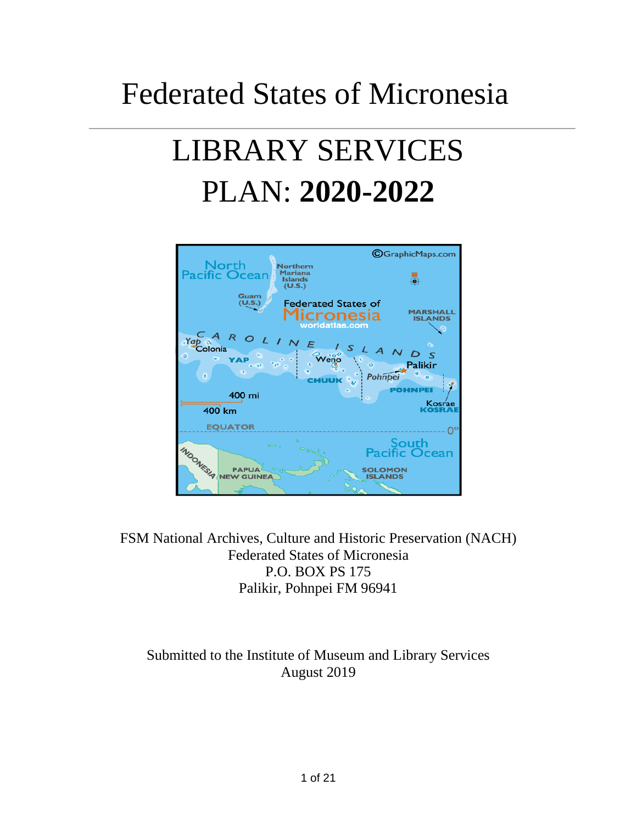## Federated States of Micronesia

# LIBRARY SERVICES PLAN: **2020-2022**



FSM National Archives, Culture and Historic Preservation (NACH) Federated States of Micronesia P.O. BOX PS 175 Palikir, Pohnpei FM 96941

#### Submitted to the Institute of Museum and Library Services August 2019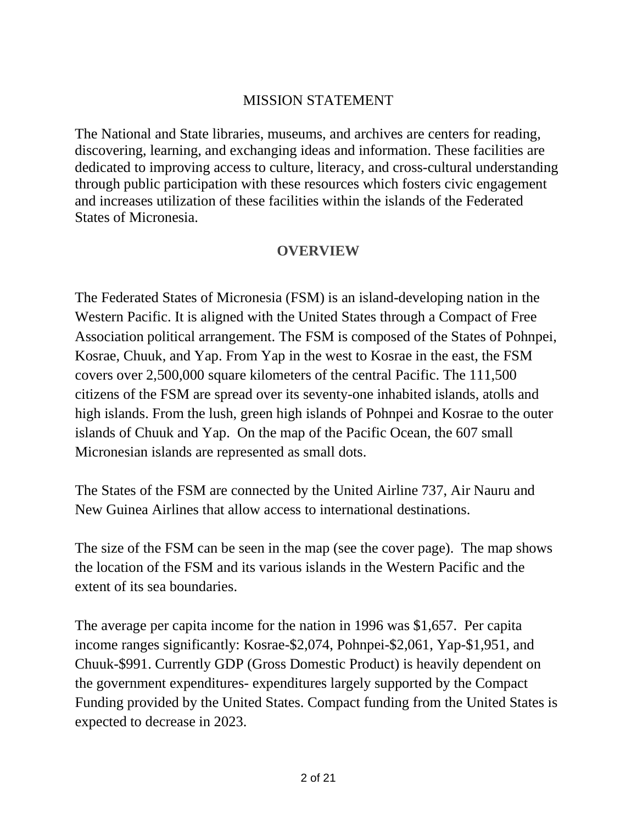#### MISSION STATEMENT

The National and State libraries, museums, and archives are centers for reading, discovering, learning, and exchanging ideas and information. These facilities are dedicated to improving access to culture, literacy, and cross-cultural understanding through public participation with these resources which fosters civic engagement and increases utilization of these facilities within the islands of the Federated States of Micronesia.

#### **OVERVIEW**

The Federated States of Micronesia (FSM) is an island-developing nation in the Western Pacific. It is aligned with the United States through a Compact of Free Association political arrangement. The FSM is composed of the States of Pohnpei, Kosrae, Chuuk, and Yap. From Yap in the west to Kosrae in the east, the FSM covers over 2,500,000 square kilometers of the central Pacific. The 111,500 citizens of the FSM are spread over its seventy-one inhabited islands, atolls and high islands. From the lush, green high islands of Pohnpei and Kosrae to the outer islands of Chuuk and Yap. On the map of the Pacific Ocean, the 607 small Micronesian islands are represented as small dots.

The States of the FSM are connected by the United Airline 737, Air Nauru and New Guinea Airlines that allow access to international destinations.

The size of the FSM can be seen in the map (see the cover page). The map shows the location of the FSM and its various islands in the Western Pacific and the extent of its sea boundaries.

The average per capita income for the nation in 1996 was \$1,657. Per capita income ranges significantly: Kosrae-\$2,074, Pohnpei-\$2,061, Yap-\$1,951, and Chuuk-\$991. Currently GDP (Gross Domestic Product) is heavily dependent on the government expenditures- expenditures largely supported by the Compact Funding provided by the United States. Compact funding from the United States is expected to decrease in 2023.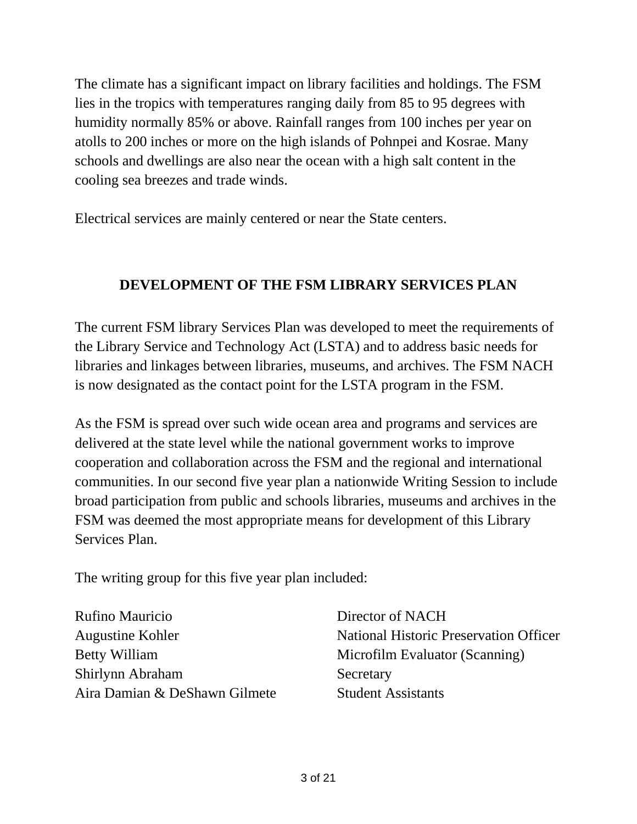The climate has a significant impact on library facilities and holdings. The FSM lies in the tropics with temperatures ranging daily from 85 to 95 degrees with humidity normally 85% or above. Rainfall ranges from 100 inches per year on atolls to 200 inches or more on the high islands of Pohnpei and Kosrae. Many schools and dwellings are also near the ocean with a high salt content in the cooling sea breezes and trade winds.

Electrical services are mainly centered or near the State centers.

#### **DEVELOPMENT OF THE FSM LIBRARY SERVICES PLAN**

The current FSM library Services Plan was developed to meet the requirements of the Library Service and Technology Act (LSTA) and to address basic needs for libraries and linkages between libraries, museums, and archives. The FSM NACH is now designated as the contact point for the LSTA program in the FSM.

As the FSM is spread over such wide ocean area and programs and services are delivered at the state level while the national government works to improve cooperation and collaboration across the FSM and the regional and international communities. In our second five year plan a nationwide Writing Session to include broad participation from public and schools libraries, museums and archives in the FSM was deemed the most appropriate means for development of this Library Services Plan.

The writing group for this five year plan included:

| <b>Rufino Mauricio</b>        |
|-------------------------------|
| <b>Augustine Kohler</b>       |
| <b>Betty William</b>          |
| Shirlynn Abraham              |
| Aira Damian & DeShawn Gilmete |

Director of NACH National Historic Preservation Officer Microfilm Evaluator (Scanning) Secretary **Student Assistants**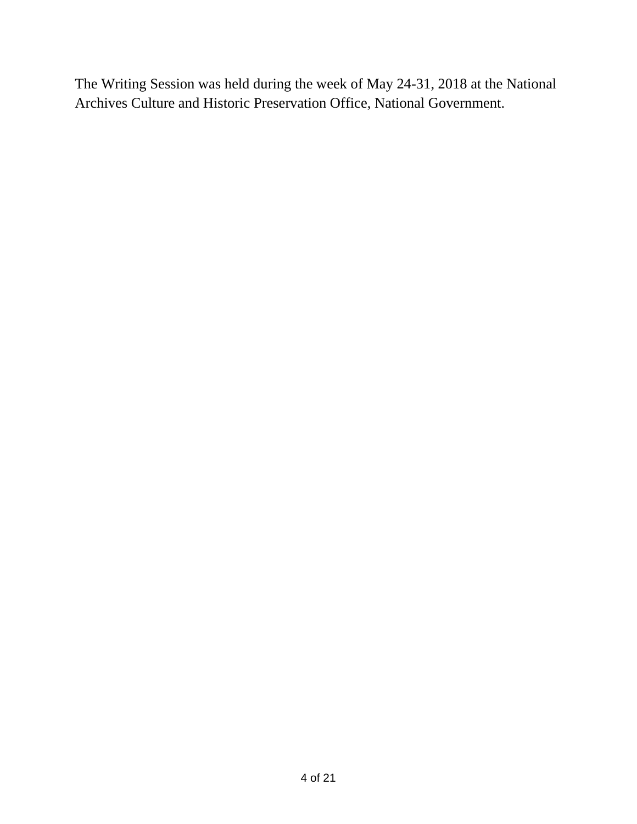The Writing Session was held during the week of May 24-31, 2018 at the National Archives Culture and Historic Preservation Office, National Government.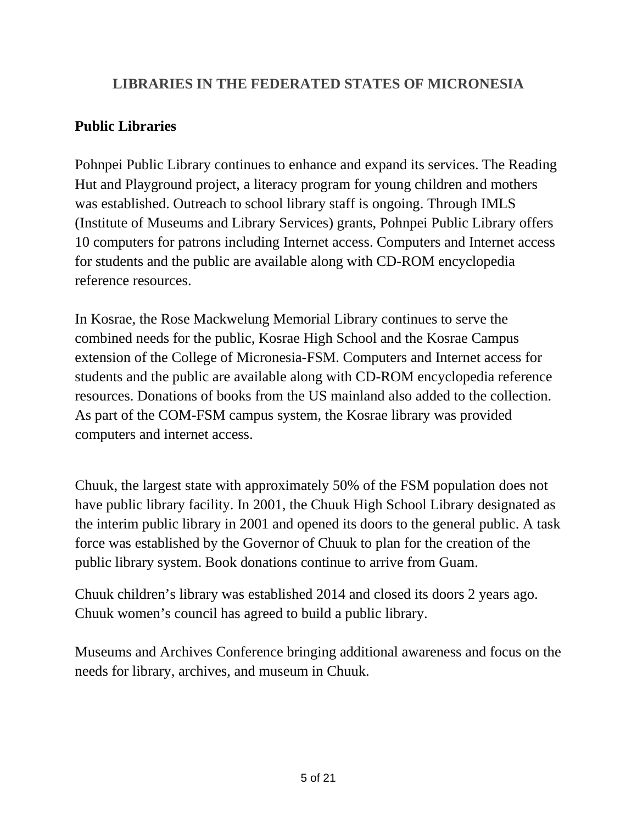#### **LIBRARIES IN THE FEDERATED STATES OF MICRONESIA**

#### **Public Libraries**

Pohnpei Public Library continues to enhance and expand its services. The Reading Hut and Playground project, a literacy program for young children and mothers was established. Outreach to school library staff is ongoing. Through IMLS (Institute of Museums and Library Services) grants, Pohnpei Public Library offers 10 computers for patrons including Internet access. Computers and Internet access for students and the public are available along with CD-ROM encyclopedia reference resources.

In Kosrae, the Rose Mackwelung Memorial Library continues to serve the combined needs for the public, Kosrae High School and the Kosrae Campus extension of the College of Micronesia-FSM. Computers and Internet access for students and the public are available along with CD-ROM encyclopedia reference resources. Donations of books from the US mainland also added to the collection. As part of the COM-FSM campus system, the Kosrae library was provided computers and internet access.

Chuuk, the largest state with approximately 50% of the FSM population does not have public library facility. In 2001, the Chuuk High School Library designated as the interim public library in 2001 and opened its doors to the general public. A task force was established by the Governor of Chuuk to plan for the creation of the public library system. Book donations continue to arrive from Guam.

Chuuk children's library was established 2014 and closed its doors 2 years ago. Chuuk women's council has agreed to build a public library.

Museums and Archives Conference bringing additional awareness and focus on the needs for library, archives, and museum in Chuuk.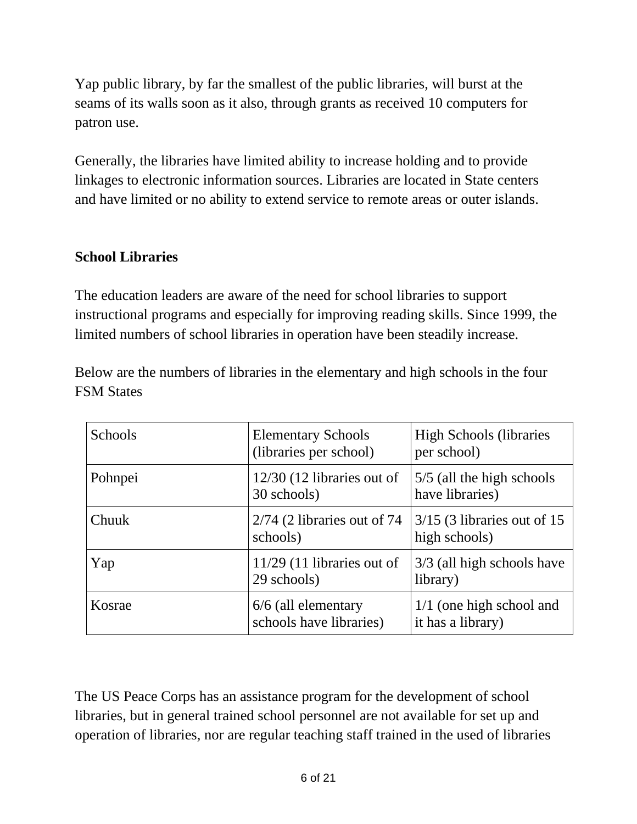Yap public library, by far the smallest of the public libraries, will burst at the seams of its walls soon as it also, through grants as received 10 computers for patron use.

Generally, the libraries have limited ability to increase holding and to provide linkages to electronic information sources. Libraries are located in State centers and have limited or no ability to extend service to remote areas or outer islands.

#### **School Libraries**

The education leaders are aware of the need for school libraries to support instructional programs and especially for improving reading skills. Since 1999, the limited numbers of school libraries in operation have been steadily increase.

| Schools | <b>Elementary Schools</b><br>(libraries per school) | <b>High Schools (libraries)</b><br>per school)  |
|---------|-----------------------------------------------------|-------------------------------------------------|
| Pohnpei | $12/30$ (12 libraries out of<br>30 schools)         | 5/5 (all the high schools<br>have libraries)    |
| Chuuk   | $2/74$ (2 libraries out of 74<br>schools)           | $3/15$ (3 libraries out of 15<br>high schools)  |
| Yap     | $11/29$ (11 libraries out of<br>29 schools)         | 3/3 (all high schools have<br>library)          |
| Kosrae  | 6/6 (all elementary<br>schools have libraries)      | $1/1$ (one high school and<br>it has a library) |

Below are the numbers of libraries in the elementary and high schools in the four FSM States

The US Peace Corps has an assistance program for the development of school libraries, but in general trained school personnel are not available for set up and operation of libraries, nor are regular teaching staff trained in the used of libraries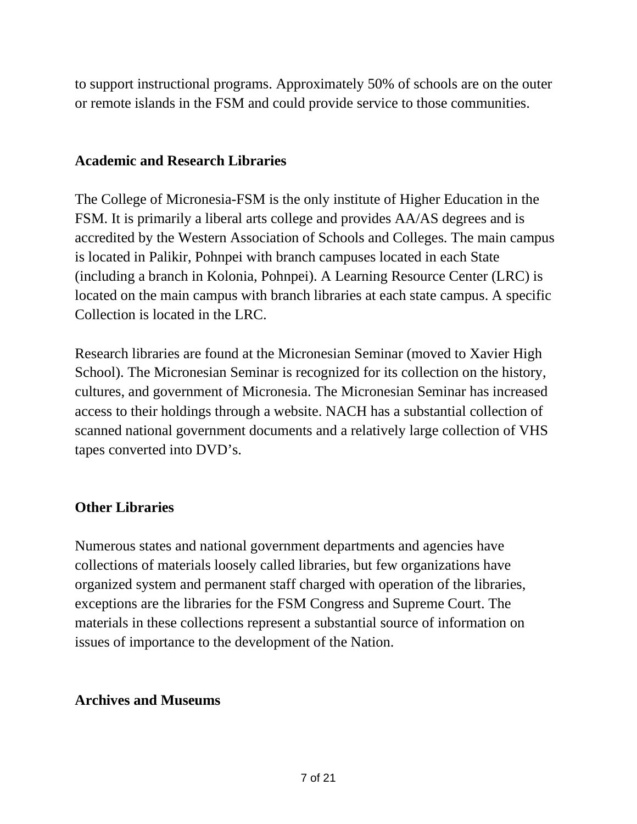to support instructional programs. Approximately 50% of schools are on the outer or remote islands in the FSM and could provide service to those communities.

#### **Academic and Research Libraries**

The College of Micronesia-FSM is the only institute of Higher Education in the FSM. It is primarily a liberal arts college and provides AA/AS degrees and is accredited by the Western Association of Schools and Colleges. The main campus is located in Palikir, Pohnpei with branch campuses located in each State (including a branch in Kolonia, Pohnpei). A Learning Resource Center (LRC) is located on the main campus with branch libraries at each state campus. A specific Collection is located in the LRC.

Research libraries are found at the Micronesian Seminar (moved to Xavier High School). The Micronesian Seminar is recognized for its collection on the history, cultures, and government of Micronesia. The Micronesian Seminar has increased access to their holdings through a website. NACH has a substantial collection of scanned national government documents and a relatively large collection of VHS tapes converted into DVD's.

#### **Other Libraries**

Numerous states and national government departments and agencies have collections of materials loosely called libraries, but few organizations have organized system and permanent staff charged with operation of the libraries, exceptions are the libraries for the FSM Congress and Supreme Court. The materials in these collections represent a substantial source of information on issues of importance to the development of the Nation.

#### **Archives and Museums**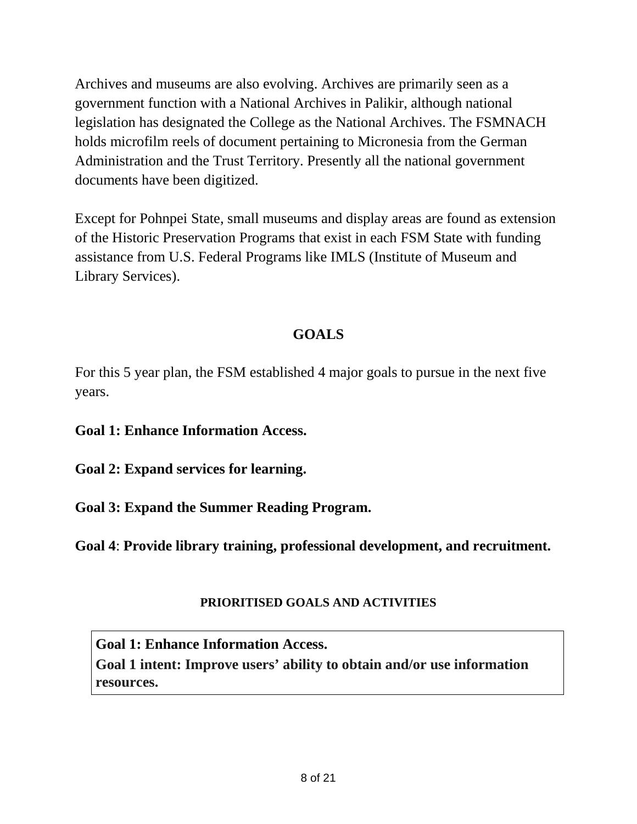Archives and museums are also evolving. Archives are primarily seen as a government function with a National Archives in Palikir, although national legislation has designated the College as the National Archives. The FSMNACH holds microfilm reels of document pertaining to Micronesia from the German Administration and the Trust Territory. Presently all the national government documents have been digitized.

Except for Pohnpei State, small museums and display areas are found as extension of the Historic Preservation Programs that exist in each FSM State with funding assistance from U.S. Federal Programs like IMLS (Institute of Museum and Library Services).

#### **GOALS**

For this 5 year plan, the FSM established 4 major goals to pursue in the next five years.

**Goal 1: Enhance Information Access.**

**Goal 2: Expand services for learning.**

**Goal 3: Expand the Summer Reading Program.**

**Goal 4**: **Provide library training, professional development, and recruitment.**

#### **PRIORITISED GOALS AND ACTIVITIES**

**Goal 1: Enhance Information Access. Goal 1 intent: Improve users' ability to obtain and/or use information resources.**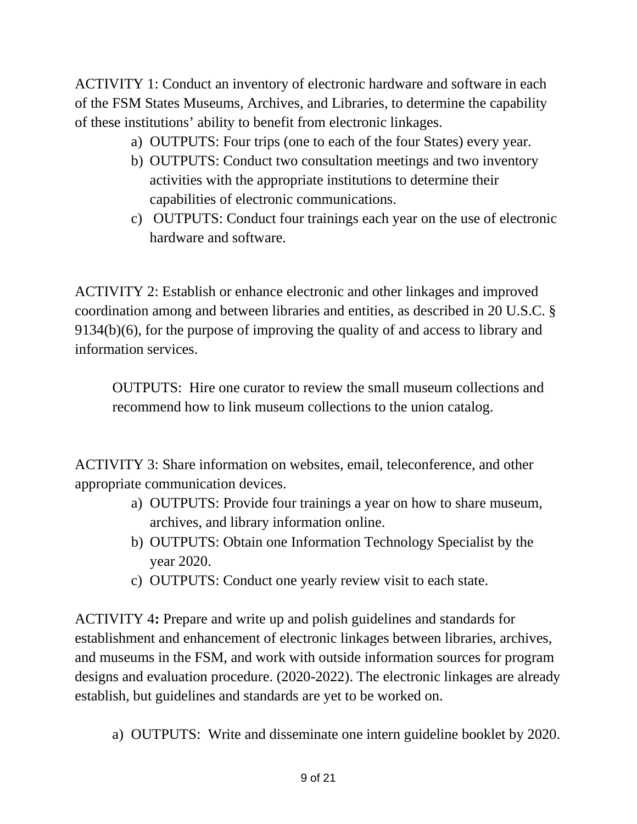ACTIVITY 1: Conduct an inventory of electronic hardware and software in each of the FSM States Museums, Archives, and Libraries, to determine the capability of these institutions' ability to benefit from electronic linkages.

- a) OUTPUTS: Four trips (one to each of the four States) every year.
- b) OUTPUTS: Conduct two consultation meetings and two inventory activities with the appropriate institutions to determine their capabilities of electronic communications.
- c) OUTPUTS: Conduct four trainings each year on the use of electronic hardware and software.

ACTIVITY 2: Establish or enhance electronic and other linkages and improved coordination among and between libraries and entities, as described in 20 U.S.C. § 9134(b)(6), for the purpose of improving the quality of and access to library and information services.

OUTPUTS: Hire one curator to review the small museum collections and recommend how to link museum collections to the union catalog.

ACTIVITY 3: Share information on websites, email, teleconference, and other appropriate communication devices.

- a) OUTPUTS: Provide four trainings a year on how to share museum, archives, and library information online.
- b) OUTPUTS: Obtain one Information Technology Specialist by the year 2020.
- c) OUTPUTS: Conduct one yearly review visit to each state.

ACTIVITY 4**:** Prepare and write up and polish guidelines and standards for establishment and enhancement of electronic linkages between libraries, archives, and museums in the FSM, and work with outside information sources for program designs and evaluation procedure. (2020-2022). The electronic linkages are already establish, but guidelines and standards are yet to be worked on.

a) OUTPUTS: Write and disseminate one intern guideline booklet by 2020.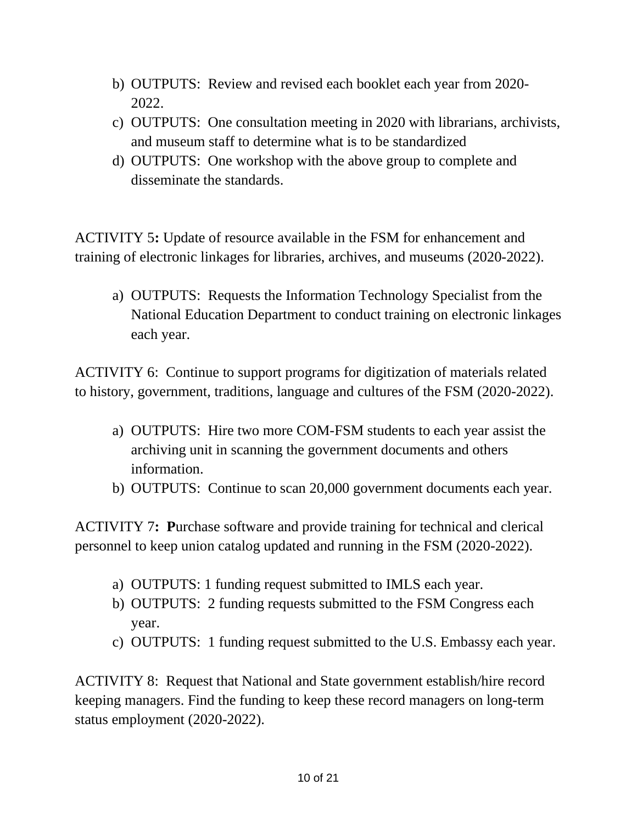- b) OUTPUTS: Review and revised each booklet each year from 2020- 2022.
- c) OUTPUTS: One consultation meeting in 2020 with librarians, archivists, and museum staff to determine what is to be standardized
- d) OUTPUTS: One workshop with the above group to complete and disseminate the standards.

ACTIVITY 5**:** Update of resource available in the FSM for enhancement and training of electronic linkages for libraries, archives, and museums (2020-2022).

a) OUTPUTS: Requests the Information Technology Specialist from the National Education Department to conduct training on electronic linkages each year.

ACTIVITY 6: Continue to support programs for digitization of materials related to history, government, traditions, language and cultures of the FSM (2020-2022).

- a) OUTPUTS: Hire two more COM-FSM students to each year assist the archiving unit in scanning the government documents and others information.
- b) OUTPUTS: Continue to scan 20,000 government documents each year.

ACTIVITY 7**: P**urchase software and provide training for technical and clerical personnel to keep union catalog updated and running in the FSM (2020-2022).

- a) OUTPUTS: 1 funding request submitted to IMLS each year.
- b) OUTPUTS: 2 funding requests submitted to the FSM Congress each year.
- c) OUTPUTS: 1 funding request submitted to the U.S. Embassy each year.

ACTIVITY 8: Request that National and State government establish/hire record keeping managers. Find the funding to keep these record managers on long-term status employment (2020-2022).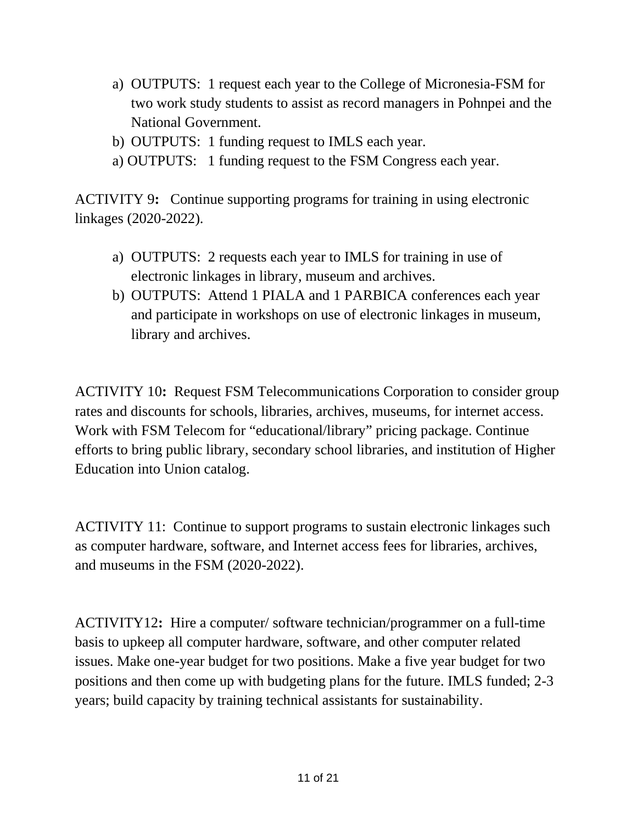- a) OUTPUTS: 1 request each year to the College of Micronesia-FSM for two work study students to assist as record managers in Pohnpei and the National Government.
- b) OUTPUTS: 1 funding request to IMLS each year.
- a) OUTPUTS: 1 funding request to the FSM Congress each year.

ACTIVITY 9**:** Continue supporting programs for training in using electronic linkages (2020-2022).

- a) OUTPUTS: 2 requests each year to IMLS for training in use of electronic linkages in library, museum and archives.
- b) OUTPUTS: Attend 1 PIALA and 1 PARBICA conferences each year and participate in workshops on use of electronic linkages in museum, library and archives.

ACTIVITY 10**:** Request FSM Telecommunications Corporation to consider group rates and discounts for schools, libraries, archives, museums, for internet access. Work with FSM Telecom for "educational/library" pricing package. Continue efforts to bring public library, secondary school libraries, and institution of Higher Education into Union catalog.

ACTIVITY 11: Continue to support programs to sustain electronic linkages such as computer hardware, software, and Internet access fees for libraries, archives, and museums in the FSM (2020-2022).

ACTIVITY12**:** Hire a computer/ software technician/programmer on a full-time basis to upkeep all computer hardware, software, and other computer related issues. Make one-year budget for two positions. Make a five year budget for two positions and then come up with budgeting plans for the future. IMLS funded; 2-3 years; build capacity by training technical assistants for sustainability.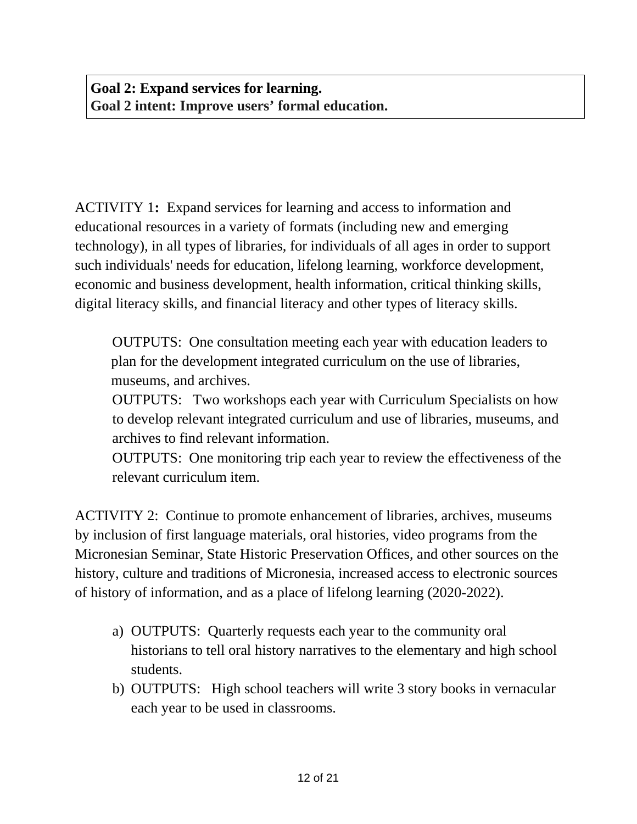ACTIVITY 1**:** Expand services for learning and access to information and educational resources in a variety of formats (including new and emerging technology), in all types of libraries, for individuals of all ages in order to support such individuals' needs for education, lifelong learning, workforce development, economic and business development, health information, critical thinking skills, digital literacy skills, and financial literacy and other types of literacy skills.

OUTPUTS: One consultation meeting each year with education leaders to plan for the development integrated curriculum on the use of libraries, museums, and archives.

OUTPUTS: Two workshops each year with Curriculum Specialists on how to develop relevant integrated curriculum and use of libraries, museums, and archives to find relevant information.

OUTPUTS: One monitoring trip each year to review the effectiveness of the relevant curriculum item.

ACTIVITY 2: Continue to promote enhancement of libraries, archives, museums by inclusion of first language materials, oral histories, video programs from the Micronesian Seminar, State Historic Preservation Offices, and other sources on the history, culture and traditions of Micronesia, increased access to electronic sources of history of information, and as a place of lifelong learning (2020-2022).

- a) OUTPUTS: Quarterly requests each year to the community oral historians to tell oral history narratives to the elementary and high school students.
- b) OUTPUTS: High school teachers will write 3 story books in vernacular each year to be used in classrooms.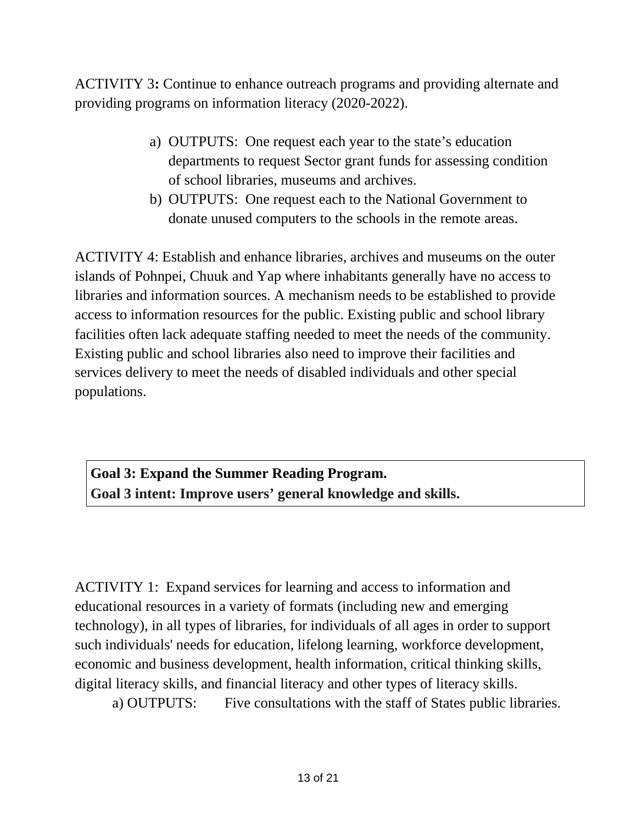ACTIVITY 3**:** Continue to enhance outreach programs and providing alternate and providing programs on information literacy (2020-2022).

- a) OUTPUTS: One request each year to the state's education departments to request Sector grant funds for assessing condition of school libraries, museums and archives.
- b) OUTPUTS: One request each to the National Government to donate unused computers to the schools in the remote areas.

ACTIVITY 4: Establish and enhance libraries, archives and museums on the outer islands of Pohnpei, Chuuk and Yap where inhabitants generally have no access to libraries and information sources. A mechanism needs to be established to provide access to information resources for the public. Existing public and school library facilities often lack adequate staffing needed to meet the needs of the community. Existing public and school libraries also need to improve their facilities and services delivery to meet the needs of disabled individuals and other special populations.

**Goal 3: Expand the Summer Reading Program. Goal 3 intent: Improve users' general knowledge and skills.**

ACTIVITY 1: Expand services for learning and access to information and educational resources in a variety of formats (including new and emerging technology), in all types of libraries, for individuals of all ages in order to support such individuals' needs for education, lifelong learning, workforce development, economic and business development, health information, critical thinking skills, digital literacy skills, and financial literacy and other types of literacy skills.

a) OUTPUTS: Five consultations with the staff of States public libraries.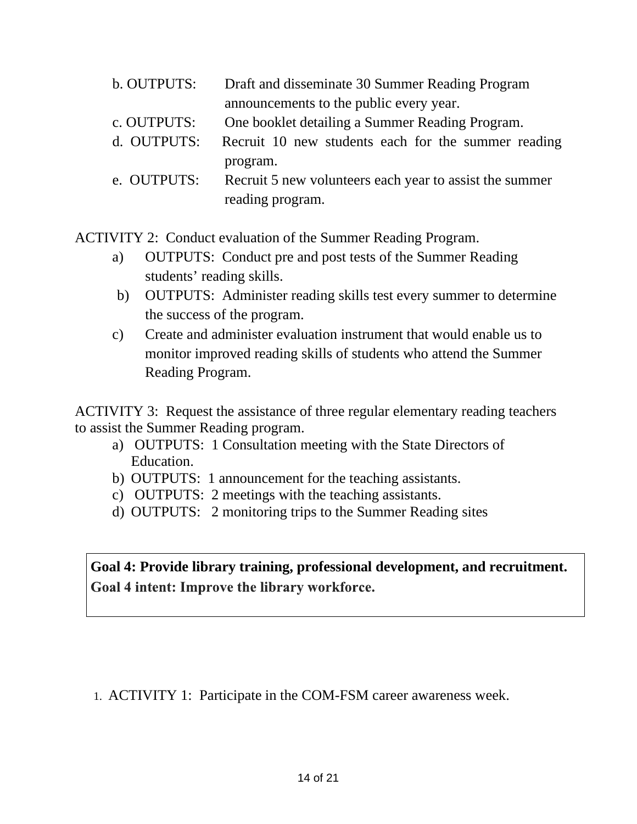- b. OUTPUTS: Draft and disseminate 30 Summer Reading Program announcements to the public every year.
- c. OUTPUTS: One booklet detailing a Summer Reading Program.
- d. OUTPUTS: Recruit 10 new students each for the summer reading program.
- e. OUTPUTS: Recruit 5 new volunteers each year to assist the summer reading program.

ACTIVITY 2: Conduct evaluation of the Summer Reading Program.

- a) OUTPUTS: Conduct pre and post tests of the Summer Reading students' reading skills.
- b) OUTPUTS: Administer reading skills test every summer to determine the success of the program.
- c) Create and administer evaluation instrument that would enable us to monitor improved reading skills of students who attend the Summer Reading Program.

ACTIVITY 3: Request the assistance of three regular elementary reading teachers to assist the Summer Reading program.

- a) OUTPUTS: 1 Consultation meeting with the State Directors of Education.
- b) OUTPUTS: 1 announcement for the teaching assistants.
- c) OUTPUTS: 2 meetings with the teaching assistants.
- d) OUTPUTS: 2 monitoring trips to the Summer Reading sites

**Goal 4: Provide library training, professional development, and recruitment.** Goal 4 intent: Improve the library workforce.

1. ACTIVITY 1: Participate in the COM-FSM career awareness week.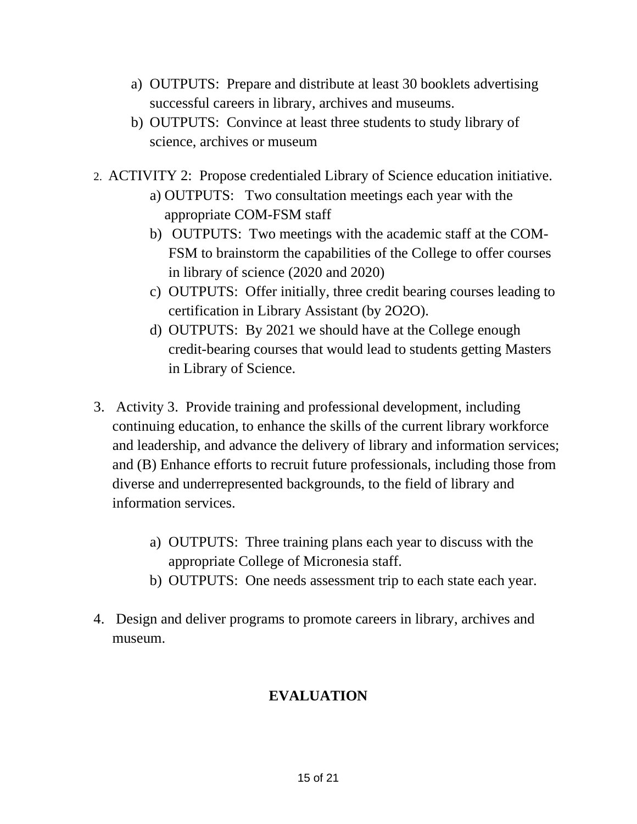- a) OUTPUTS: Prepare and distribute at least 30 booklets advertising successful careers in library, archives and museums.
- b) OUTPUTS: Convince at least three students to study library of science, archives or museum
- 2. ACTIVITY 2: Propose credentialed Library of Science education initiative. a) OUTPUTS: Two consultation meetings each year with the appropriate COM-FSM staff
	- b) OUTPUTS: Two meetings with the academic staff at the COM-FSM to brainstorm the capabilities of the College to offer courses in library of science (2020 and 2020)
	- c) OUTPUTS: Offer initially, three credit bearing courses leading to certification in Library Assistant (by 2O2O).
	- d) OUTPUTS: By 2021 we should have at the College enough credit-bearing courses that would lead to students getting Masters in Library of Science.
- 3. Activity 3. Provide training and professional development, including continuing education, to enhance the skills of the current library workforce and leadership, and advance the delivery of library and information services; and (B) Enhance efforts to recruit future professionals, including those from diverse and underrepresented backgrounds, to the field of library and information services.
	- a) OUTPUTS: Three training plans each year to discuss with the appropriate College of Micronesia staff.
	- b) OUTPUTS: One needs assessment trip to each state each year.
- 4. Design and deliver programs to promote careers in library, archives and museum.

#### **EVALUATION**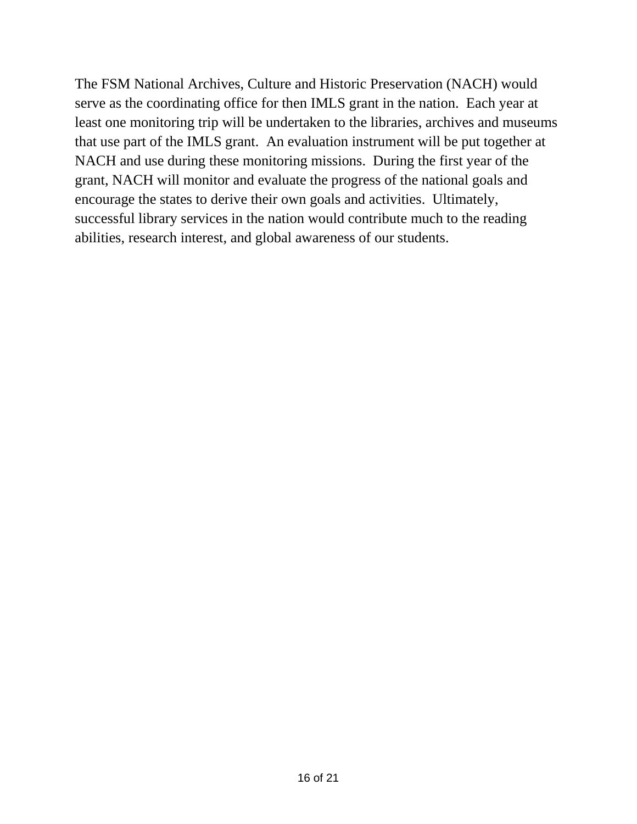The FSM National Archives, Culture and Historic Preservation (NACH) would serve as the coordinating office for then IMLS grant in the nation. Each year at least one monitoring trip will be undertaken to the libraries, archives and museums that use part of the IMLS grant. An evaluation instrument will be put together at NACH and use during these monitoring missions. During the first year of the grant, NACH will monitor and evaluate the progress of the national goals and encourage the states to derive their own goals and activities. Ultimately, successful library services in the nation would contribute much to the reading abilities, research interest, and global awareness of our students.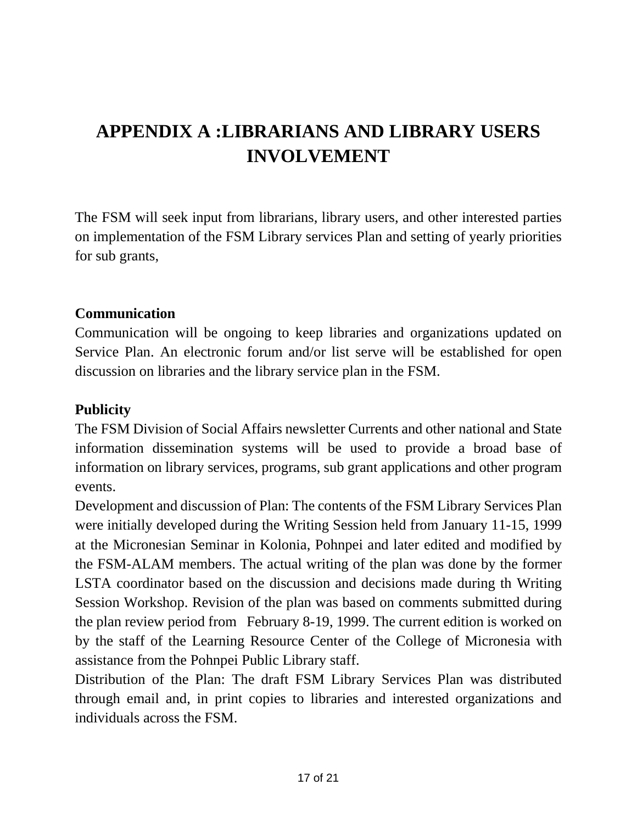### **APPENDIX A :LIBRARIANS AND LIBRARY USERS INVOLVEMENT**

The FSM will seek input from librarians, library users, and other interested parties on implementation of the FSM Library services Plan and setting of yearly priorities for sub grants,

#### **Communication**

Communication will be ongoing to keep libraries and organizations updated on Service Plan. An electronic forum and/or list serve will be established for open discussion on libraries and the library service plan in the FSM.

#### **Publicity**

The FSM Division of Social Affairs newsletter Currents and other national and State information dissemination systems will be used to provide a broad base of information on library services, programs, sub grant applications and other program events.

Development and discussion of Plan: The contents of the FSM Library Services Plan were initially developed during the Writing Session held from January 11-15, 1999 at the Micronesian Seminar in Kolonia, Pohnpei and later edited and modified by the FSM-ALAM members. The actual writing of the plan was done by the former LSTA coordinator based on the discussion and decisions made during th Writing Session Workshop. Revision of the plan was based on comments submitted during the plan review period from February 8-19, 1999. The current edition is worked on by the staff of the Learning Resource Center of the College of Micronesia with assistance from the Pohnpei Public Library staff.

Distribution of the Plan: The draft FSM Library Services Plan was distributed through email and, in print copies to libraries and interested organizations and individuals across the FSM.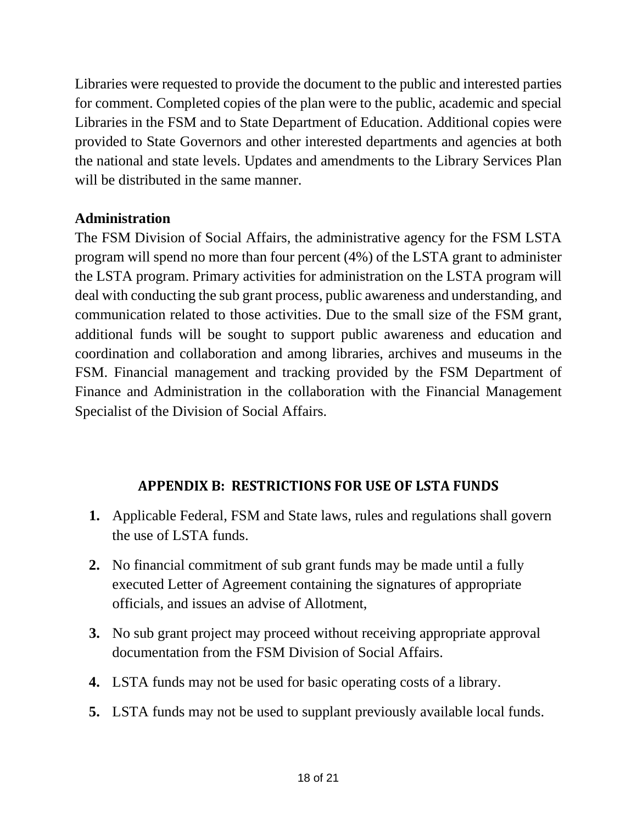Libraries were requested to provide the document to the public and interested parties for comment. Completed copies of the plan were to the public, academic and special Libraries in the FSM and to State Department of Education. Additional copies were provided to State Governors and other interested departments and agencies at both the national and state levels. Updates and amendments to the Library Services Plan will be distributed in the same manner.

#### **Administration**

The FSM Division of Social Affairs, the administrative agency for the FSM LSTA program will spend no more than four percent (4%) of the LSTA grant to administer the LSTA program. Primary activities for administration on the LSTA program will deal with conducting the sub grant process, public awareness and understanding, and communication related to those activities. Due to the small size of the FSM grant, additional funds will be sought to support public awareness and education and coordination and collaboration and among libraries, archives and museums in the FSM. Financial management and tracking provided by the FSM Department of Finance and Administration in the collaboration with the Financial Management Specialist of the Division of Social Affairs.

#### **APPENDIX B: RESTRICTIONS FOR USE OF LSTA FUNDS**

- **1.** Applicable Federal, FSM and State laws, rules and regulations shall govern the use of LSTA funds.
- **2.** No financial commitment of sub grant funds may be made until a fully executed Letter of Agreement containing the signatures of appropriate officials, and issues an advise of Allotment,
- **3.** No sub grant project may proceed without receiving appropriate approval documentation from the FSM Division of Social Affairs.
- **4.** LSTA funds may not be used for basic operating costs of a library.
- **5.** LSTA funds may not be used to supplant previously available local funds.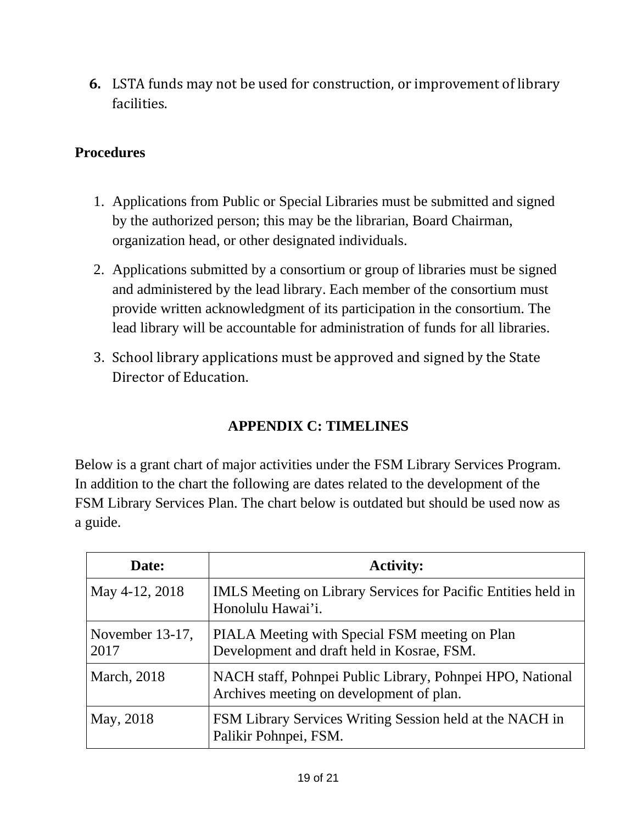**6.** LSTA funds may not be used for construction, or improvement of library facilities.

#### **Procedures**

- 1. Applications from Public or Special Libraries must be submitted and signed by the authorized person; this may be the librarian, Board Chairman, organization head, or other designated individuals.
- 2. Applications submitted by a consortium or group of libraries must be signed and administered by the lead library. Each member of the consortium must provide written acknowledgment of its participation in the consortium. The lead library will be accountable for administration of funds for all libraries.
- 3. School library applications must be approved and signed by the State Director of Education.

#### **APPENDIX C: TIMELINES**

Below is a grant chart of major activities under the FSM Library Services Program. In addition to the chart the following are dates related to the development of the FSM Library Services Plan. The chart below is outdated but should be used now as a guide.

| Date:                   | <b>Activity:</b>                                                                                      |
|-------------------------|-------------------------------------------------------------------------------------------------------|
| May 4-12, 2018          | <b>IMLS</b> Meeting on Library Services for Pacific Entities held in<br>Honolulu Hawai'i.             |
| November 13-17,<br>2017 | PIALA Meeting with Special FSM meeting on Plan<br>Development and draft held in Kosrae, FSM.          |
| <b>March</b> , 2018     | NACH staff, Pohnpei Public Library, Pohnpei HPO, National<br>Archives meeting on development of plan. |
| May, 2018               | FSM Library Services Writing Session held at the NACH in<br>Palikir Pohnpei, FSM.                     |